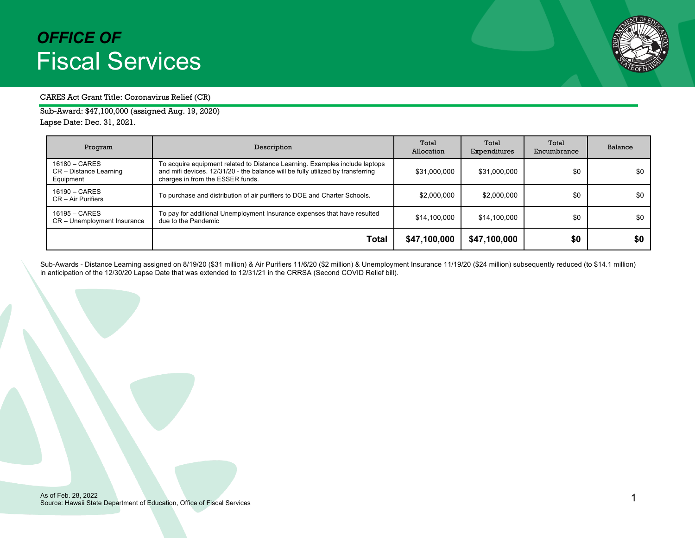

#### CARES Act Grant Title: Coronavirus Relief (CR)

Sub-Award: \$47,100,000 (assigned Aug. 19, 2020) Lapse Date: Dec. 31, 2021.

| Program                                              | Description                                                                                                                                                                                        | Total<br>Allocation | Total<br>Expenditures | Total<br>Encumbrance | Balance |
|------------------------------------------------------|----------------------------------------------------------------------------------------------------------------------------------------------------------------------------------------------------|---------------------|-----------------------|----------------------|---------|
| 16180 - CARES<br>CR - Distance Learning<br>Equipment | To acquire equipment related to Distance Learning. Examples include laptops<br>and mifi devices. 12/31/20 - the balance will be fully utilized by transferring<br>charges in from the ESSER funds. | \$31,000,000        | \$31,000,000          | \$0                  | \$0     |
| $16190 - CARES$<br>$CR - Air Purifiers$              | To purchase and distribution of air purifiers to DOE and Charter Schools.                                                                                                                          | \$2,000,000         | \$2,000,000           | \$0                  | \$0     |
| 16195 - CARES<br>CR - Unemployment Insurance         | To pay for additional Unemployment Insurance expenses that have resulted<br>due to the Pandemic                                                                                                    | \$14,100,000        | \$14,100,000          | \$0                  | \$0     |
|                                                      | Total                                                                                                                                                                                              | \$47,100,000        | \$47,100,000          | \$0                  | \$0     |

Sub-Awards - Distance Learning assigned on 8/19/20 (\$31 million) & Air Purifiers 11/6/20 (\$2 million) & Unemployment Insurance 11/19/20 (\$24 million) subsequently reduced (to \$14.1 million) in anticipation of the 12/30/20 Lapse Date that was extended to 12/31/21 in the CRRSA (Second COVID Relief bill).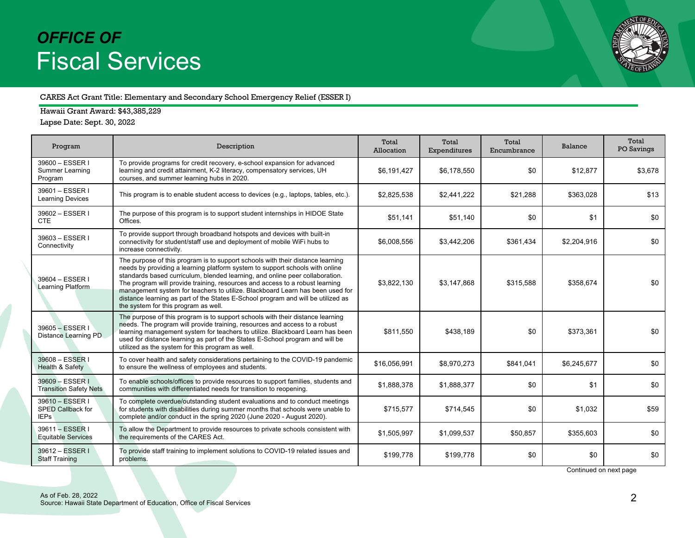

#### CARES Act Grant Title: Elementary and Secondary School Emergency Relief (ESSER I)

Hawaii Grant Award: \$43,385,229

Lapse Date: Sept. 30, 2022

| Program                                             | Description                                                                                                                                                                                                                                                                                                                                                                                                                                                                                                                                 | Total<br>Allocation | Total<br>Expenditures | Total<br>Encumbrance | Balance     | Total<br>PO Savings |
|-----------------------------------------------------|---------------------------------------------------------------------------------------------------------------------------------------------------------------------------------------------------------------------------------------------------------------------------------------------------------------------------------------------------------------------------------------------------------------------------------------------------------------------------------------------------------------------------------------------|---------------------|-----------------------|----------------------|-------------|---------------------|
| 39600 - ESSER I<br>Summer Learning<br>Program       | To provide programs for credit recovery, e-school expansion for advanced<br>learning and credit attainment, K-2 literacy, compensatory services, UH<br>courses, and summer learning hubs in 2020.                                                                                                                                                                                                                                                                                                                                           | \$6,191,427         | \$6,178,550           | \$0                  | \$12,877    | \$3,678             |
| 39601 - ESSER I<br><b>Learning Devices</b>          | This program is to enable student access to devices (e.g., laptops, tables, etc.).                                                                                                                                                                                                                                                                                                                                                                                                                                                          | \$2,825,538         | \$2,441,222           | \$21,288             | \$363,028   | \$13                |
| 39602 - ESSER I<br><b>CTE</b>                       | The purpose of this program is to support student internships in HIDOE State<br>Offices.                                                                                                                                                                                                                                                                                                                                                                                                                                                    | \$51,141            | \$51,140              | \$0                  | \$1         | \$0                 |
| 39603 - ESSER I<br>Connectivity                     | To provide support through broadband hotspots and devices with built-in<br>connectivity for student/staff use and deployment of mobile WiFi hubs to<br>increase connectivity.                                                                                                                                                                                                                                                                                                                                                               | \$6,008,556         | \$3,442,206           | \$361,434            | \$2,204,916 | \$0                 |
| 39604 - ESSER I<br>Learning Platform                | The purpose of this program is to support schools with their distance learning<br>needs by providing a learning platform system to support schools with online<br>standards based curriculum, blended learning, and online peer collaboration.<br>The program will provide training, resources and access to a robust learning<br>management system for teachers to utilize. Blackboard Learn has been used for<br>distance learning as part of the States E-School program and will be utilized as<br>the system for this program as well. | \$3.822.130         | \$3.147.868           | \$315,588            | \$358.674   | \$0                 |
| 39605 - ESSER I<br>Distance Learning PD             | The purpose of this program is to support schools with their distance learning<br>needs. The program will provide training, resources and access to a robust<br>learning management system for teachers to utilize. Blackboard Learn has been<br>used for distance learning as part of the States E-School program and will be<br>utilized as the system for this program as well.                                                                                                                                                          | \$811,550           | \$438,189             | \$0                  | \$373,361   | \$0                 |
| 39608 - ESSER I<br>Health & Safety                  | To cover health and safety considerations pertaining to the COVID-19 pandemic<br>to ensure the wellness of employees and students.                                                                                                                                                                                                                                                                                                                                                                                                          | \$16,056,991        | \$8,970,273           | \$841,041            | \$6,245,677 | \$0                 |
| 39609 - ESSER I<br><b>Transition Safety Nets</b>    | To enable schools/offices to provide resources to support families, students and<br>communities with differentiated needs for transition to reopening.                                                                                                                                                                                                                                                                                                                                                                                      | \$1,888,378         | \$1,888,377           | \$0                  | \$1         | \$0                 |
| 39610 - ESSER I<br>SPED Callback for<br><b>IEPs</b> | To complete overdue/outstanding student evaluations and to conduct meetings<br>for students with disabilities during summer months that schools were unable to<br>complete and/or conduct in the spring 2020 (June 2020 - August 2020).                                                                                                                                                                                                                                                                                                     | \$715,577           | \$714,545             | \$0                  | \$1,032     | \$59                |
| 39611 - ESSER I<br><b>Equitable Services</b>        | To allow the Department to provide resources to private schools consistent with<br>the requirements of the CARES Act.                                                                                                                                                                                                                                                                                                                                                                                                                       | \$1,505,997         | \$1,099,537           | \$50,857             | \$355,603   | \$0                 |
| 39612 - ESSER I<br><b>Staff Training</b>            | To provide staff training to implement solutions to COVID-19 related issues and<br>problems.                                                                                                                                                                                                                                                                                                                                                                                                                                                | \$199,778           | \$199,778             | \$0                  | \$0         | \$0                 |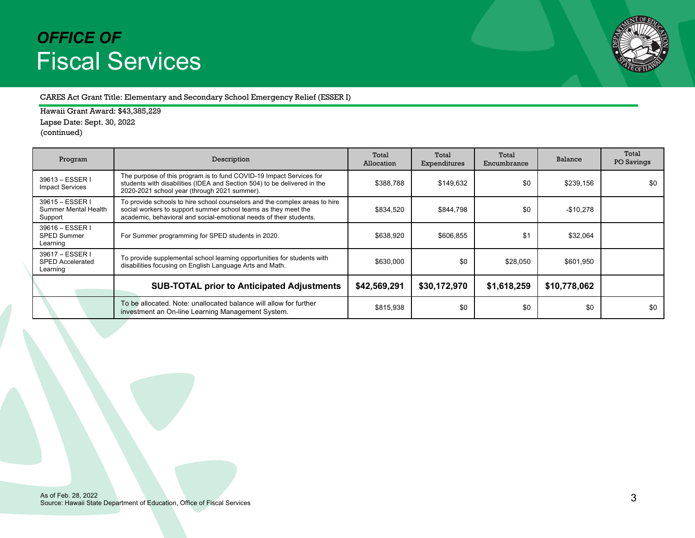

### CARES Act Grant Title: Elementary and Secondary School Emergency Relief (ESSER I)

Hawaii Grant Award: \$43,385,229 Lapse Date: Sept. 30, 2022 (continued)

| Program                                                | Description                                                                                                                                                                                                        | Total<br>Allocation | Total<br>Expenditures | Total<br>Encumbrance | Balance      | Total<br>PO Savings |
|--------------------------------------------------------|--------------------------------------------------------------------------------------------------------------------------------------------------------------------------------------------------------------------|---------------------|-----------------------|----------------------|--------------|---------------------|
| 39613 - ESSER I<br><b>Impact Services</b>              | The purpose of this program is to fund COVID-19 Impact Services for<br>students with disabilities (IDEA and Section 504) to be delivered in the<br>2020-2021 school year (through 2021 summer).                    | \$388,788           | \$149,632             | \$0                  | \$239,156    | \$0                 |
| 39615 - ESSER I<br>Summer Mental Health<br>Support     | To provide schools to hire school counselors and the complex areas to hire<br>social workers to support summer school teams as they meet the<br>academic, behavioral and social-emotional needs of their students. | \$834,520           | \$844,798             | \$0                  | $-$10,278$   |                     |
| 39616 - ESSER I<br><b>SPED Summer</b><br>Learning      | For Summer programming for SPED students in 2020.                                                                                                                                                                  | \$638,920           | \$606.855             | \$1                  | \$32.064     |                     |
| 39617 - ESSER I<br><b>SPED Accelerated</b><br>Learning | To provide supplemental school learning opportunities for students with<br>disabilities focusing on English Language Arts and Math.                                                                                | \$630,000           | \$0                   | \$28,050             | \$601,950    |                     |
|                                                        | <b>SUB-TOTAL prior to Anticipated Adjustments</b>                                                                                                                                                                  | \$42,569,291        | \$30,172,970          | \$1,618,259          | \$10,778,062 |                     |
|                                                        | To be allocated. Note: unallocated balance will allow for further<br>investment an On-line Learning Management System.                                                                                             | \$815,938           | \$0                   | \$0                  | \$0          | \$0                 |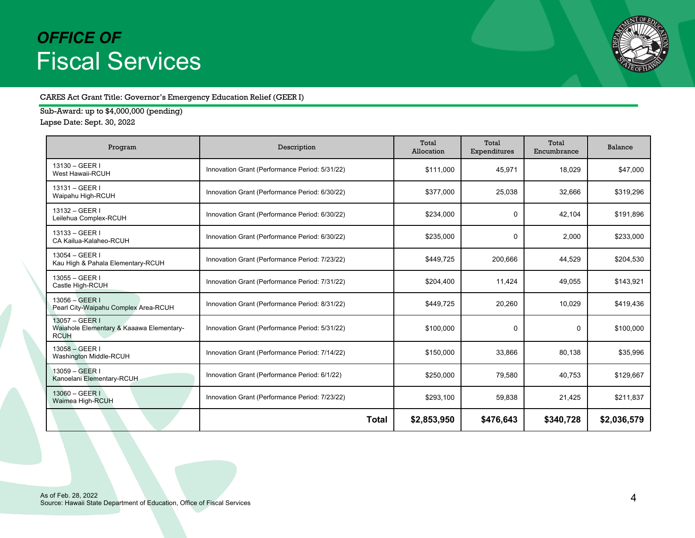

### CARES Act Grant Title: Governor's Emergency Education Relief (GEER I)

Sub-Award: up to \$4,000,000 (pending) Lapse Date: Sept. 30, 2022

| Program                                                                   | Description                                    | Total<br>Allocation | Total<br>Expenditures | Total<br>Encumbrance | Balance     |
|---------------------------------------------------------------------------|------------------------------------------------|---------------------|-----------------------|----------------------|-------------|
| 13130 - GEER I<br>West Hawaii-RCUH                                        | Innovation Grant (Performance Period: 5/31/22) | \$111,000           | 45,971                | 18,029               | \$47,000    |
| 13131 - GEER I<br>Waipahu High-RCUH                                       | Innovation Grant (Performance Period: 6/30/22) | \$377,000           | 25,038                | 32,666               | \$319,296   |
| 13132 - GEER I<br>Leilehua Complex-RCUH                                   | Innovation Grant (Performance Period: 6/30/22) | \$234,000           | 0                     | 42.104               | \$191,896   |
| 13133 - GEER I<br>CA Kailua-Kalaheo-RCUH                                  | Innovation Grant (Performance Period: 6/30/22) | \$235,000           | 0                     | 2,000                | \$233,000   |
| $13054 - GEER$<br>Kau High & Pahala Elementary-RCUH                       | Innovation Grant (Performance Period: 7/23/22) | \$449,725           | 200,666               | 44,529               | \$204,530   |
| $13055 - GEER$<br>Castle High-RCUH                                        | Innovation Grant (Performance Period: 7/31/22) | \$204,400           | 11,424                | 49,055               | \$143,921   |
| $13056 - GEER$<br>Pearl City-Waipahu Complex Area-RCUH                    | Innovation Grant (Performance Period: 8/31/22) | \$449,725           | 20,260                | 10,029               | \$419,436   |
| 13057 - GEER I<br>Waiahole Elementary & Kaaawa Elementary-<br><b>RCUH</b> | Innovation Grant (Performance Period: 5/31/22) | \$100,000           | 0                     | 0                    | \$100,000   |
| $13058 - GEER$<br>Washington Middle-RCUH                                  | Innovation Grant (Performance Period: 7/14/22) | \$150,000           | 33,866                | 80,138               | \$35,996    |
| 13059 - GEER I<br>Kanoelani Elementary-RCUH                               | Innovation Grant (Performance Period: 6/1/22)  | \$250,000           | 79,580                | 40,753               | \$129,667   |
| $13060 - GEER$<br>Waimea High-RCUH                                        | Innovation Grant (Performance Period: 7/23/22) | \$293,100           | 59,838                | 21,425               | \$211,837   |
|                                                                           | Total                                          | \$2,853,950         | \$476,643             | \$340,728            | \$2,036,579 |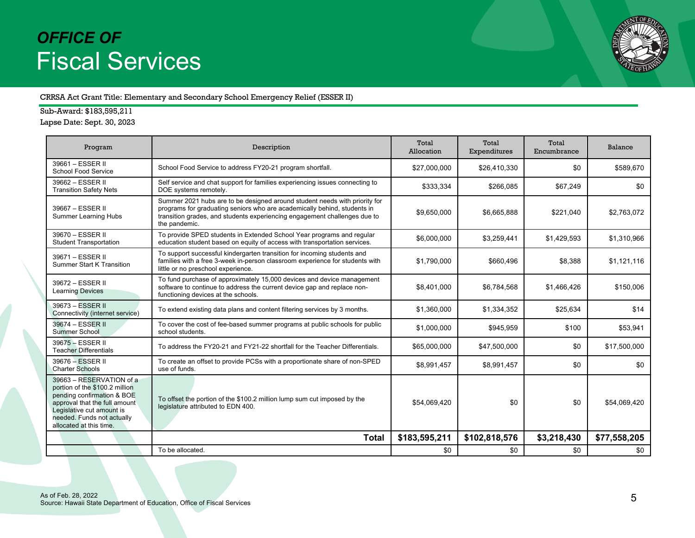

#### CRRSA Act Grant Title: Elementary and Secondary School Emergency Relief (ESSER II)

Sub-Award: \$183,595,211 Lapse Date: Sept. 30, 2023

| Program                                                                                                                                                                                                         | Description                                                                                                                                                                                                                                          | Total<br>Allocation | Total<br>Expenditures | Total<br>Encumbrance | Balance      |
|-----------------------------------------------------------------------------------------------------------------------------------------------------------------------------------------------------------------|------------------------------------------------------------------------------------------------------------------------------------------------------------------------------------------------------------------------------------------------------|---------------------|-----------------------|----------------------|--------------|
| 39661 - ESSER II<br>School Food Service                                                                                                                                                                         | School Food Service to address FY20-21 program shortfall.                                                                                                                                                                                            | \$27,000,000        | \$26,410,330          | \$0                  | \$589.670    |
| 39662 - ESSER II<br><b>Transition Safety Nets</b>                                                                                                                                                               | Self service and chat support for families experiencing issues connecting to<br>DOE systems remotely.                                                                                                                                                | \$333,334           | \$266.085             | \$67,249             | \$0          |
| 39667 - ESSER II<br><b>Summer Learning Hubs</b>                                                                                                                                                                 | Summer 2021 hubs are to be designed around student needs with priority for<br>programs for graduating seniors who are academically behind, students in<br>transition grades, and students experiencing engagement challenges due to<br>the pandemic. | \$9,650,000         | \$6,665,888           | \$221.040            | \$2,763,072  |
| 39670 - ESSER II<br><b>Student Transportation</b>                                                                                                                                                               | To provide SPED students in Extended School Year programs and regular<br>education student based on equity of access with transportation services.                                                                                                   | \$6,000,000         | \$3,259,441           | \$1,429,593          | \$1,310,966  |
| 39671 - ESSER II<br><b>Summer Start K Transition</b>                                                                                                                                                            | To support successful kindergarten transition for incoming students and<br>families with a free 3-week in-person classroom experience for students with<br>little or no preschool experience.                                                        | \$1,790,000         | \$660,496             | \$8,388              | \$1,121,116  |
| 39672 - ESSER II<br><b>Learning Devices</b>                                                                                                                                                                     | To fund purchase of approximately 15,000 devices and device management<br>software to continue to address the current device gap and replace non-<br>functioning devices at the schools.                                                             | \$8,401,000         | \$6,784,568           | \$1,466,426          | \$150,006    |
| 39673 - ESSER II<br>Connectivity (internet service)                                                                                                                                                             | To extend existing data plans and content filtering services by 3 months.                                                                                                                                                                            | \$1,360,000         | \$1,334,352           | \$25,634             | \$14         |
| 39674 - ESSER II<br><b>Summer School</b>                                                                                                                                                                        | To cover the cost of fee-based summer programs at public schools for public<br>school students.                                                                                                                                                      | \$1,000,000         | \$945,959             | \$100                | \$53,941     |
| 39675 - ESSER II<br><b>Teacher Differentials</b>                                                                                                                                                                | To address the FY20-21 and FY21-22 shortfall for the Teacher Differentials.                                                                                                                                                                          | \$65,000,000        | \$47,500,000          | \$0                  | \$17,500,000 |
| 39676 - ESSER II<br><b>Charter Schools</b>                                                                                                                                                                      | To create an offset to provide PCSs with a proportionate share of non-SPED<br>use of funds.                                                                                                                                                          | \$8,991,457         | \$8,991,457           | \$0                  | \$0          |
| 39663 - RESERVATION of a<br>portion of the \$100.2 million<br>pending confirmation & BOE<br>approval that the full amount<br>Legislative cut amount is<br>needed. Funds not actually<br>allocated at this time. | To offset the portion of the \$100.2 million lump sum cut imposed by the<br>legislature attributed to EDN 400.                                                                                                                                       | \$54,069,420        | \$0                   | \$0                  | \$54,069,420 |
|                                                                                                                                                                                                                 | <b>Total</b>                                                                                                                                                                                                                                         | \$183,595,211       | \$102,818,576         | \$3,218,430          | \$77,558,205 |
|                                                                                                                                                                                                                 | To be allocated.                                                                                                                                                                                                                                     | \$0                 | \$0                   | \$0                  | \$0          |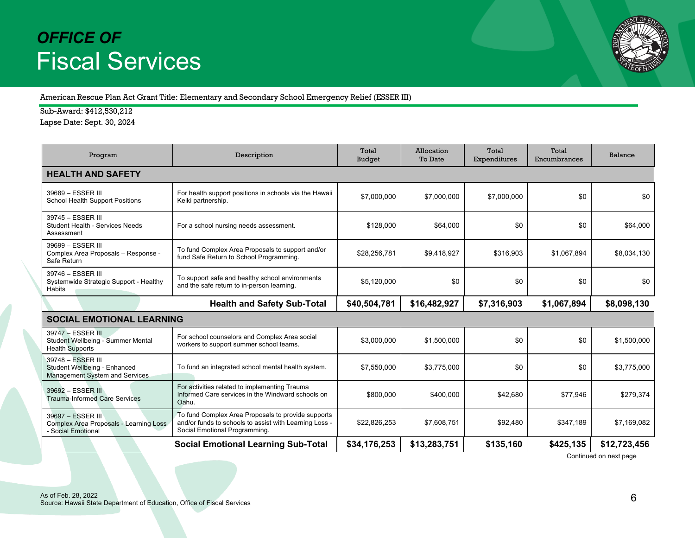

American Rescue Plan Act Grant Title: Elementary and Secondary School Emergency Relief (ESSER III)

Sub-Award: \$412,530,212

Lapse Date: Sept. 30, 2024

| Program                                                                             | Description                                                                                                                                   | Total<br><b>Budget</b> | Allocation<br>To Date | Total<br>Expenditures | Total<br>Encumbrances | Balance      |  |  |  |
|-------------------------------------------------------------------------------------|-----------------------------------------------------------------------------------------------------------------------------------------------|------------------------|-----------------------|-----------------------|-----------------------|--------------|--|--|--|
| <b>HEALTH AND SAFETY</b>                                                            |                                                                                                                                               |                        |                       |                       |                       |              |  |  |  |
| 39689 - ESSER III<br>School Health Support Positions                                | For health support positions in schools via the Hawaii<br>Keiki partnership.                                                                  | \$7,000,000            | \$7,000,000           | \$7,000,000           | \$0                   | \$0          |  |  |  |
| 39745 - ESSER III<br><b>Student Health - Services Needs</b><br>Assessment           | For a school nursing needs assessment.                                                                                                        | \$128,000              | \$64,000              | \$0                   | \$0                   | \$64,000     |  |  |  |
| 39699 - ESSER III<br>Complex Area Proposals - Response -<br>Safe Return             | To fund Complex Area Proposals to support and/or<br>fund Safe Return to School Programming.                                                   | \$28,256,781           | \$9,418,927           | \$316,903             | \$1,067,894           | \$8,034,130  |  |  |  |
| 39746 - ESSER III<br>Systemwide Strategic Support - Healthy<br>Habits               | To support safe and healthy school environments<br>and the safe return to in-person learning.                                                 | \$5,120,000            | \$0                   | \$0                   | \$0                   | \$0          |  |  |  |
|                                                                                     | <b>Health and Safety Sub-Total</b>                                                                                                            | \$40,504,781           | \$16,482,927          | \$7,316,903           | \$1,067,894           | \$8,098,130  |  |  |  |
| <b>SOCIAL EMOTIONAL LEARNING</b>                                                    |                                                                                                                                               |                        |                       |                       |                       |              |  |  |  |
| 39747 - ESSER III<br>Student Wellbeing - Summer Mental<br><b>Health Supports</b>    | For school counselors and Complex Area social<br>workers to support summer school teams.                                                      | \$3,000,000            | \$1,500,000           | \$0                   | \$0                   | \$1,500,000  |  |  |  |
| 39748 - ESSER III<br>Student Wellbeing - Enhanced<br>Management System and Services | To fund an integrated school mental health system.                                                                                            | \$7,550,000            | \$3,775,000           | \$0                   | \$0                   | \$3,775,000  |  |  |  |
| 39692 - ESSER III<br><b>Trauma-Informed Care Services</b>                           | For activities related to implementing Trauma<br>Informed Care services in the Windward schools on<br>Oahu.                                   | \$800,000              | \$400,000             | \$42,680              | \$77,946              | \$279,374    |  |  |  |
| 39697 - ESSER III<br>Complex Area Proposals - Learning Loss<br>Social Emotional     | To fund Complex Area Proposals to provide supports<br>and/or funds to schools to assist with Learning Loss -<br>Social Emotional Programming. | \$22,826,253           | \$7,608,751           | \$92,480              | \$347,189             | \$7,169,082  |  |  |  |
|                                                                                     | <b>Social Emotional Learning Sub-Total</b>                                                                                                    | \$34,176,253           | \$13,283,751          | \$135,160             | \$425,135             | \$12,723,456 |  |  |  |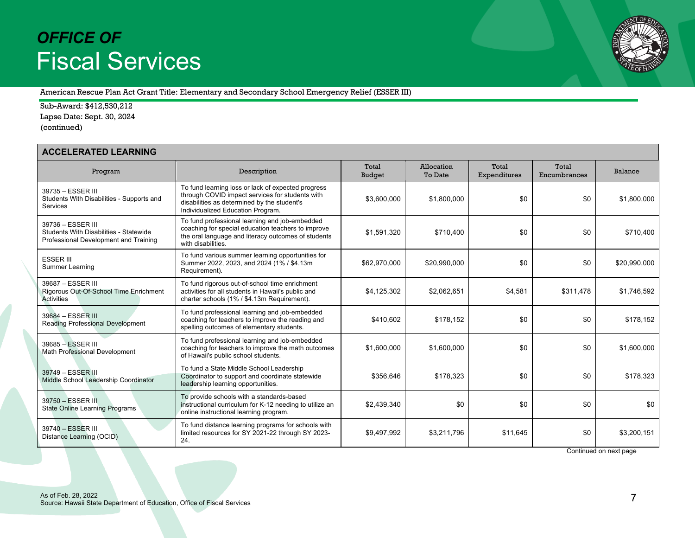

American Rescue Plan Act Grant Title: Elementary and Secondary School Emergency Relief (ESSER III)

Sub-Award: \$412,530,212 Lapse Date: Sept. 30, 2024 (continued)

| <b>ACCELERATED LEARNING</b>                                                                          |                                                                                                                                                                                           |                 |                       |                       |                       |              |  |
|------------------------------------------------------------------------------------------------------|-------------------------------------------------------------------------------------------------------------------------------------------------------------------------------------------|-----------------|-----------------------|-----------------------|-----------------------|--------------|--|
| Program                                                                                              | Description                                                                                                                                                                               | Total<br>Budget | Allocation<br>To Date | Total<br>Expenditures | Total<br>Encumbrances | Balance      |  |
| 39735 - ESSER III<br>Students With Disabilities - Supports and<br>Services                           | To fund learning loss or lack of expected progress<br>through COVID impact services for students with<br>disabilities as determined by the student's<br>Individualized Education Program. | \$3,600,000     | \$1,800,000           | \$0                   | \$0                   | \$1,800,000  |  |
| 39736 - ESSER III<br>Students With Disabilities - Statewide<br>Professional Development and Training | To fund professional learning and job-embedded<br>coaching for special education teachers to improve<br>the oral language and literacy outcomes of students<br>with disabilities.         | \$1,591,320     | \$710,400             | \$0                   | \$0                   | \$710,400    |  |
| <b>ESSER III</b><br>Summer Learning                                                                  | To fund various summer learning opportunities for<br>Summer 2022, 2023, and 2024 (1% / \$4.13m<br>Requirement).                                                                           | \$62,970,000    | \$20,990,000          | \$0                   | \$0                   | \$20,990,000 |  |
| 39687 - ESSER III<br>Rigorous Out-Of-School Time Enrichment<br>Activities                            | To fund rigorous out-of-school time enrichment<br>activities for all students in Hawaii's public and<br>charter schools (1% / \$4.13m Requirement).                                       | \$4,125,302     | \$2,062,651           | \$4,581               | \$311,478             | \$1,746,592  |  |
| 39684 - ESSER III<br><b>Reading Professional Development</b>                                         | To fund professional learning and job-embedded<br>coaching for teachers to improve the reading and<br>spelling outcomes of elementary students.                                           | \$410,602       | \$178.152             | \$0                   | \$0                   | \$178,152    |  |
| 39685 - ESSER III<br><b>Math Professional Development</b>                                            | To fund professional learning and job-embedded<br>coaching for teachers to improve the math outcomes<br>of Hawaii's public school students.                                               | \$1,600,000     | \$1,600,000           | \$0                   | \$0                   | \$1,600,000  |  |
| 39749 - ESSER III<br>Middle School Leadership Coordinator                                            | To fund a State Middle School Leadership<br>Coordinator to support and coordinate statewide<br>leadership learning opportunities.                                                         | \$356,646       | \$178,323             | \$0                   | \$0                   | \$178.323    |  |
| 39750 - ESSER III<br><b>State Online Learning Programs</b>                                           | To provide schools with a standards-based<br>instructional curriculum for K-12 needing to utilize an<br>online instructional learning program.                                            | \$2.439.340     | \$0                   | \$0                   | \$0                   | \$0          |  |
| 39740 - ESSER III<br>Distance Learning (OCID)                                                        | To fund distance learning programs for schools with<br>limited resources for SY 2021-22 through SY 2023-<br>24.                                                                           | \$9,497,992     | \$3,211,796           | \$11,645              | \$0                   | \$3,200,151  |  |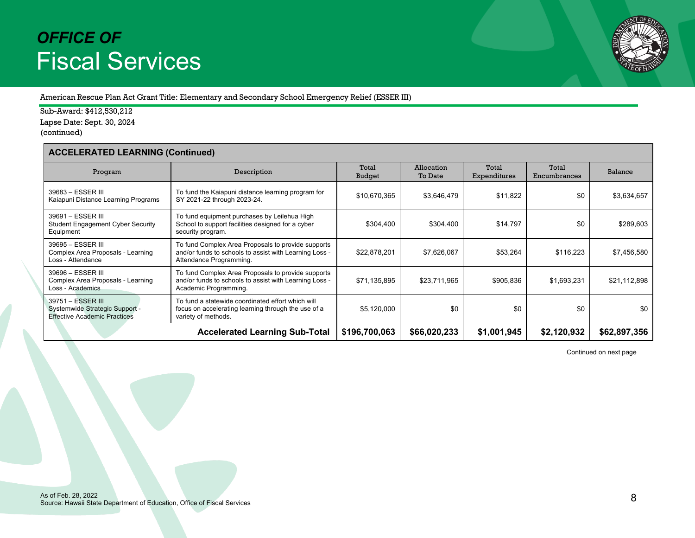

American Rescue Plan Act Grant Title: Elementary and Secondary School Emergency Relief (ESSER III)

Sub-Award: \$412,530,212 Lapse Date: Sept. 30, 2024 (continued)

### **ACCELERATED LEARNING (Continued)**

| Program                                                                                    | Description                                                                                                                             | Total<br><b>Budget</b> | Allocation<br>To Date | Total<br>Expenditures | Total<br>Encumbrances | Balance      |  |  |
|--------------------------------------------------------------------------------------------|-----------------------------------------------------------------------------------------------------------------------------------------|------------------------|-----------------------|-----------------------|-----------------------|--------------|--|--|
| 39683 - ESSER III<br>Kaiapuni Distance Learning Programs                                   | To fund the Kaiapuni distance learning program for<br>SY 2021-22 through 2023-24.                                                       | \$10,670,365           | \$3,646,479           | \$11,822              | \$0                   | \$3,634,657  |  |  |
| 39691 - ESSER III<br><b>Student Engagement Cyber Security</b><br>Equipment                 | To fund equipment purchases by Leilehua High<br>School to support facilities designed for a cyber<br>security program.                  | \$304,400              | \$304,400             | \$14,797              | \$0                   | \$289,603    |  |  |
| 39695 - ESSER III<br>Complex Area Proposals - Learning<br>Loss - Attendance                | To fund Complex Area Proposals to provide supports<br>and/or funds to schools to assist with Learning Loss -<br>Attendance Programming. | \$22,878,201           | \$7,626,067           | \$53,264              | \$116,223             | \$7,456,580  |  |  |
| 39696 - ESSER III<br>Complex Area Proposals - Learning<br>Loss - Academics                 | To fund Complex Area Proposals to provide supports<br>and/or funds to schools to assist with Learning Loss -<br>Academic Programming.   | \$71,135,895           | \$23,711,965          | \$905,836             | \$1,693,231           | \$21,112,898 |  |  |
| 39751 - ESSER III<br>Systemwide Strategic Support -<br><b>Effective Academic Practices</b> | To fund a statewide coordinated effort which will<br>focus on accelerating learning through the use of a<br>variety of methods.         | \$5,120,000            | \$0                   | \$0                   | \$0                   | \$0          |  |  |
|                                                                                            | \$196,700,063                                                                                                                           | \$66,020,233           | \$1,001,945           | \$2,120,932           | \$62,897,356          |              |  |  |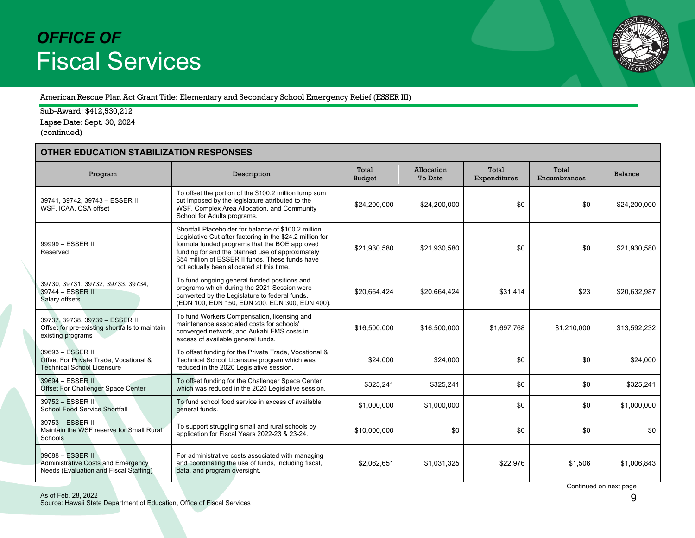

American Rescue Plan Act Grant Title: Elementary and Secondary School Emergency Relief (ESSER III)

Sub-Award: \$412,530,212 Lapse Date: Sept. 30, 2024 (continued)

### **OTHER EDUCATION STABILIZATION RESPONSES**

| Program                                                                                                  | Description                                                                                                                                                                                                                                                                                                             | Total<br>Budget | Allocation<br>To Date | Total<br>Expenditures | Total<br>Encumbrances | Balance      |  |  |
|----------------------------------------------------------------------------------------------------------|-------------------------------------------------------------------------------------------------------------------------------------------------------------------------------------------------------------------------------------------------------------------------------------------------------------------------|-----------------|-----------------------|-----------------------|-----------------------|--------------|--|--|
| 39741, 39742, 39743 - ESSER III<br>WSF, ICAA, CSA offset                                                 | To offset the portion of the \$100.2 million lump sum<br>cut imposed by the legislature attributed to the<br>WSF, Complex Area Allocation, and Community<br>School for Adults programs.                                                                                                                                 | \$24,200,000    | \$24,200,000          | \$0                   | \$0                   | \$24,200,000 |  |  |
| 99999 - ESSER III<br>Reserved                                                                            | Shortfall Placeholder for balance of \$100.2 million<br>Legislative Cut after factoring in the \$24.2 million for<br>formula funded programs that the BOE approved<br>funding for and the planned use of approximately<br>\$54 million of ESSER II funds. These funds have<br>not actually been allocated at this time. | \$21,930,580    | \$21,930,580          | \$0                   | \$0                   | \$21.930.580 |  |  |
| 39730, 39731, 39732, 39733, 39734,<br>39744 - ESSER III<br>Salary offsets                                | To fund ongoing general funded positions and<br>programs which during the 2021 Session were<br>converted by the Legislature to federal funds.<br>(EDN 100, EDN 150, EDN 200, EDN 300, EDN 400).                                                                                                                         | \$20,664,424    | \$20,664,424          | \$31,414              | \$23                  | \$20,632,987 |  |  |
| 39737, 39738, 39739 - ESSER III<br>Offset for pre-existing shortfalls to maintain<br>existing programs   | To fund Workers Compensation, licensing and<br>maintenance associated costs for schools'<br>converged network, and Aukahi FMS costs in<br>excess of available general funds.                                                                                                                                            | \$16,500,000    | \$16,500,000          | \$1,697,768           | \$1,210,000           | \$13,592,232 |  |  |
| 39693 - ESSER III<br>Offset For Private Trade, Vocational &<br><b>Technical School Licensure</b>         | To offset funding for the Private Trade, Vocational &<br>Technical School Licensure program which was<br>reduced in the 2020 Legislative session.                                                                                                                                                                       | \$24,000        | \$24.000              | \$0                   | \$0                   | \$24,000     |  |  |
| 39694 - ESSER III<br>Offset For Challenger Space Center                                                  | To offset funding for the Challenger Space Center<br>which was reduced in the 2020 Legislative session.                                                                                                                                                                                                                 | \$325.241       | \$325.241             | \$0                   | \$0                   | \$325.241    |  |  |
| 39752 - ESSER III<br><b>School Food Service Shortfall</b>                                                | To fund school food service in excess of available<br>general funds.                                                                                                                                                                                                                                                    | \$1,000,000     | \$1,000,000           | \$0                   | \$0                   | \$1.000.000  |  |  |
| 39753 - ESSER III<br>Maintain the WSF reserve for Small Rural<br><b>Schools</b>                          | To support struggling small and rural schools by<br>application for Fiscal Years 2022-23 & 23-24.                                                                                                                                                                                                                       | \$10,000,000    | \$0                   | \$0                   | \$0                   | \$0          |  |  |
| 39688 - ESSER III<br><b>Administrative Costs and Emergency</b><br>Needs (Evaluation and Fiscal Staffing) | For administrative costs associated with managing<br>and coordinating the use of funds, including fiscal,<br>data, and program oversight.                                                                                                                                                                               | \$2,062,651     | \$1,031,325           | \$22,976              | \$1,506               | \$1,006,843  |  |  |